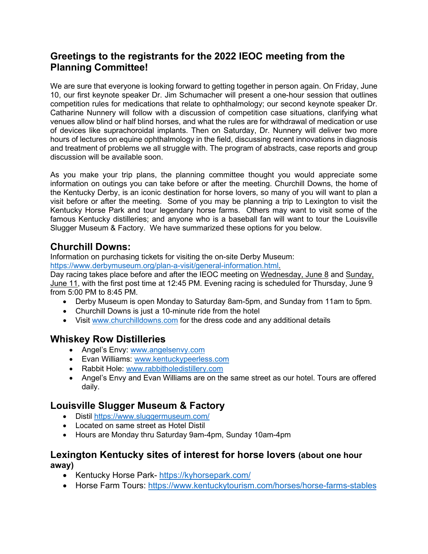## **Greetings to the registrants for the 2022 IEOC meeting from the Planning Committee!**

We are sure that everyone is looking forward to getting together in person again. On Friday, June 10, our first keynote speaker Dr. Jim Schumacher will present a one-hour session that outlines competition rules for medications that relate to ophthalmology; our second keynote speaker Dr. Catharine Nunnery will follow with a discussion of competition case situations, clarifying what venues allow blind or half blind horses, and what the rules are for withdrawal of medication or use of devices like suprachoroidal implants. Then on Saturday, Dr. Nunnery will deliver two more hours of lectures on equine ophthalmology in the field, discussing recent innovations in diagnosis and treatment of problems we all struggle with. The program of abstracts, case reports and group discussion will be available soon.

As you make your trip plans, the planning committee thought you would appreciate some information on outings you can take before or after the meeting. Churchill Downs, the home of the Kentucky Derby, is an iconic destination for horse lovers, so many of you will want to plan a visit before or after the meeting. Some of you may be planning a trip to Lexington to visit the Kentucky Horse Park and tour legendary horse farms. Others may want to visit some of the famous Kentucky distilleries; and anyone who is a baseball fan will want to tour the Louisville Slugger Museum & Factory. We have summarized these options for you below.

### **Churchill Downs:**

Information on purchasing tickets for visiting the on-site Derby Museum:

[https://www.derbymuseum.org/plan-a-visit/general-information.html.](https://www.derbymuseum.org/plan-a-visit/general-information.html)

Day racing takes place before and after the IEOC meeting on Wednesday, June 8 and Sunday, June 11, with the first post time at 12:45 PM. Evening racing is scheduled for Thursday, June 9 from 5:00 PM to 8:45 PM.

- Derby Museum is open Monday to Saturday 8am-5pm, and Sunday from 11am to 5pm.
- Churchill Downs is just a 10-minute ride from the hotel
- Visit [www.churchilldowns.com](http://www.churchilldowns.com/) for the dress code and any additional details

# **Whiskey Row Distilleries**

- Angel's Envy: [www.angelsenvy.com](http://www.angelsenvy.com/)
- Evan Williams: [www.kentuckypeerless.com](http://www.kentuckypeerless.com/)
- Rabbit Hole: [www.rabbitholedistillery.com](http://www.rabbitholedistillery.com/)
- Angel's Envy and Evan Williams are on the same street as our hotel. Tours are offered daily.

### **Louisville Slugger Museum & Factory**

- Distil <https://www.sluggermuseum.com/>
- Located on same street as Hotel Distil
- Hours are Monday thru Saturday 9am-4pm, Sunday 10am-4pm

#### **Lexington Kentucky sites of interest for horse lovers (about one hour away)**

- Kentucky Horse Park- <https://kyhorsepark.com/>
- Horse Farm Tours:<https://www.kentuckytourism.com/horses/horse-farms-stables>